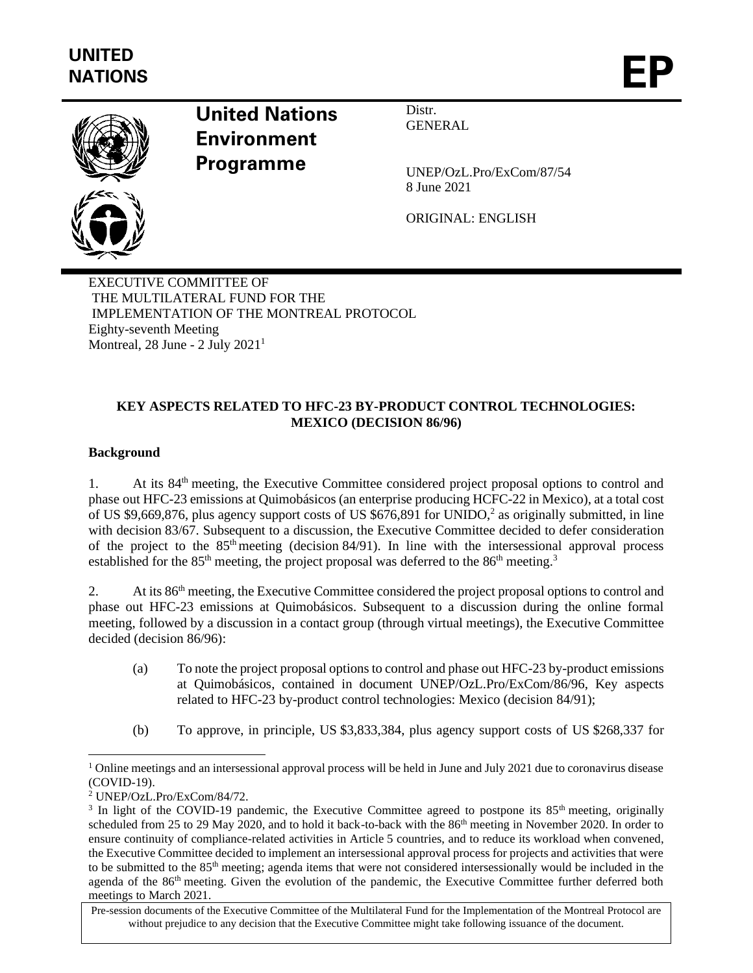

# **United Nations Environment Programme**

Distr. **GENERAL** 

UNEP/OzL.Pro/ExCom/87/54 8 June 2021

ORIGINAL: ENGLISH

EXECUTIVE COMMITTEE OF THE MULTILATERAL FUND FOR THE IMPLEMENTATION OF THE MONTREAL PROTOCOL Eighty-seventh Meeting Montreal,  $28$  June -  $2$  July  $2021<sup>1</sup>$ 

## **KEY ASPECTS RELATED TO HFC-23 BY-PRODUCT CONTROL TECHNOLOGIES: MEXICO (DECISION 86/96)**

## **Background**

1. At its 84<sup>th</sup> meeting, the Executive Committee considered project proposal options to control and phase out HFC-23 emissions at Quimobásicos (an enterprise producing HCFC-22 in Mexico), at a total cost of US \$9,669,876, plus agency support costs of US \$676,891 for UNIDO,<sup>2</sup> as originally submitted, in line with decision 83/67. Subsequent to a discussion, the Executive Committee decided to defer consideration of the project to the  $85<sup>th</sup>$  meeting (decision 84/91). In line with the intersessional approval process established for the  $85<sup>th</sup>$  meeting, the project proposal was deferred to the  $86<sup>th</sup>$  meeting.<sup>3</sup>

2. At its 86<sup>th</sup> meeting, the Executive Committee considered the project proposal options to control and phase out HFC-23 emissions at Quimobásicos. Subsequent to a discussion during the online formal meeting, followed by a discussion in a contact group (through virtual meetings), the Executive Committee decided (decision 86/96):

- (a) To note the project proposal options to control and phase out HFC-23 by-product emissions at Quimobásicos, contained in document UNEP/OzL.Pro/ExCom/86/96, Key aspects related to HFC-23 by-product control technologies: Mexico (decision 84/91);
- (b) To approve, in principle, US \$3,833,384, plus agency support costs of US \$268,337 for

 $1$  Online meetings and an intersessional approval process will be held in June and July 2021 due to coronavirus disease (COVID-19).

<sup>2</sup> UNEP/OzL.Pro/ExCom/84/72.

<sup>&</sup>lt;sup>3</sup> In light of the COVID-19 pandemic, the Executive Committee agreed to postpone its  $85<sup>th</sup>$  meeting, originally scheduled from 25 to 29 May 2020, and to hold it back-to-back with the 86<sup>th</sup> meeting in November 2020. In order to ensure continuity of compliance-related activities in Article 5 countries, and to reduce its workload when convened, the Executive Committee decided to implement an intersessional approval process for projects and activities that were to be submitted to the 85<sup>th</sup> meeting; agenda items that were not considered intersessionally would be included in the agenda of the 86th meeting. Given the evolution of the pandemic, the Executive Committee further deferred both meetings to March 2021.

Pre-session documents of the Executive Committee of the Multilateral Fund for the Implementation of the Montreal Protocol are without prejudice to any decision that the Executive Committee might take following issuance of the document.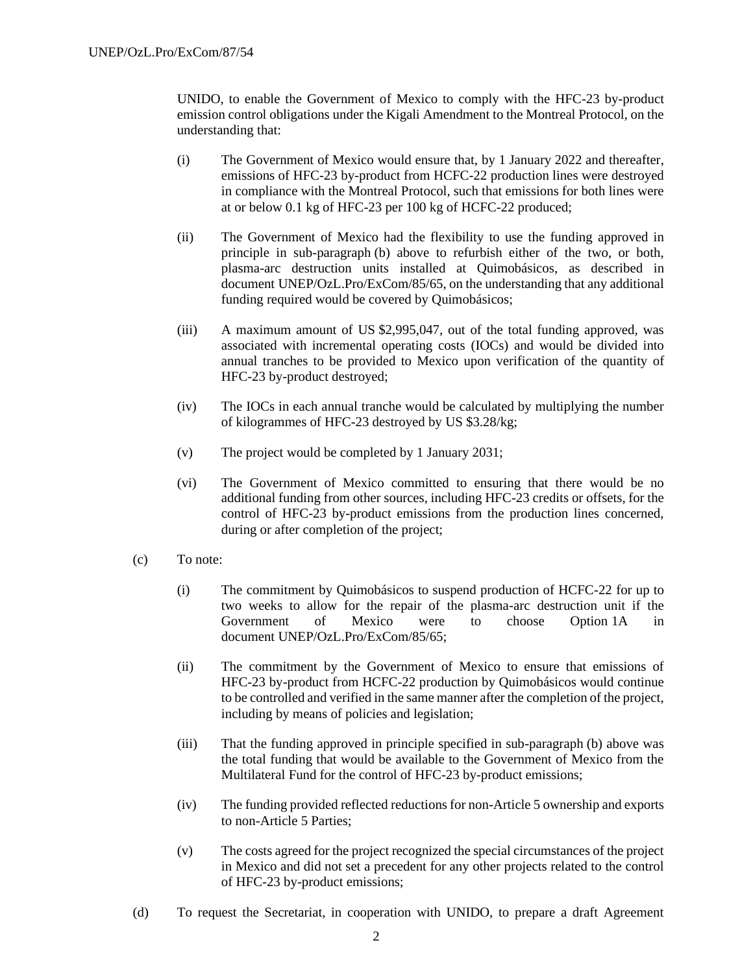UNIDO, to enable the Government of Mexico to comply with the HFC-23 by-product emission control obligations under the Kigali Amendment to the Montreal Protocol, on the understanding that:

- (i) The Government of Mexico would ensure that, by 1 January 2022 and thereafter, emissions of HFC-23 by-product from HCFC-22 production lines were destroyed in compliance with the Montreal Protocol, such that emissions for both lines were at or below 0.1 kg of HFC-23 per 100 kg of HCFC-22 produced;
- (ii) The Government of Mexico had the flexibility to use the funding approved in principle in sub-paragraph (b) above to refurbish either of the two, or both, plasma-arc destruction units installed at Quimobásicos, as described in document UNEP/OzL.Pro/ExCom/85/65, on the understanding that any additional funding required would be covered by Quimobásicos;
- (iii) A maximum amount of US \$2,995,047, out of the total funding approved, was associated with incremental operating costs (IOCs) and would be divided into annual tranches to be provided to Mexico upon verification of the quantity of HFC-23 by-product destroyed;
- (iv) The IOCs in each annual tranche would be calculated by multiplying the number of kilogrammes of HFC-23 destroyed by US \$3.28/kg;
- (v) The project would be completed by 1 January 2031;
- (vi) The Government of Mexico committed to ensuring that there would be no additional funding from other sources, including HFC-23 credits or offsets, for the control of HFC-23 by-product emissions from the production lines concerned, during or after completion of the project;
- (c) To note:
	- (i) The commitment by Quimobásicos to suspend production of HCFC-22 for up to two weeks to allow for the repair of the plasma-arc destruction unit if the Government of Mexico were to choose Option 1A in document UNEP/OzL.Pro/ExCom/85/65;
	- (ii) The commitment by the Government of Mexico to ensure that emissions of HFC-23 by-product from HCFC-22 production by Quimobásicos would continue to be controlled and verified in the same manner after the completion of the project, including by means of policies and legislation;
	- (iii) That the funding approved in principle specified in sub-paragraph (b) above was the total funding that would be available to the Government of Mexico from the Multilateral Fund for the control of HFC-23 by-product emissions;
	- (iv) The funding provided reflected reductions for non-Article 5 ownership and exports to non-Article 5 Parties;
	- (v) The costs agreed for the project recognized the special circumstances of the project in Mexico and did not set a precedent for any other projects related to the control of HFC-23 by-product emissions;
- (d) To request the Secretariat, in cooperation with UNIDO, to prepare a draft Agreement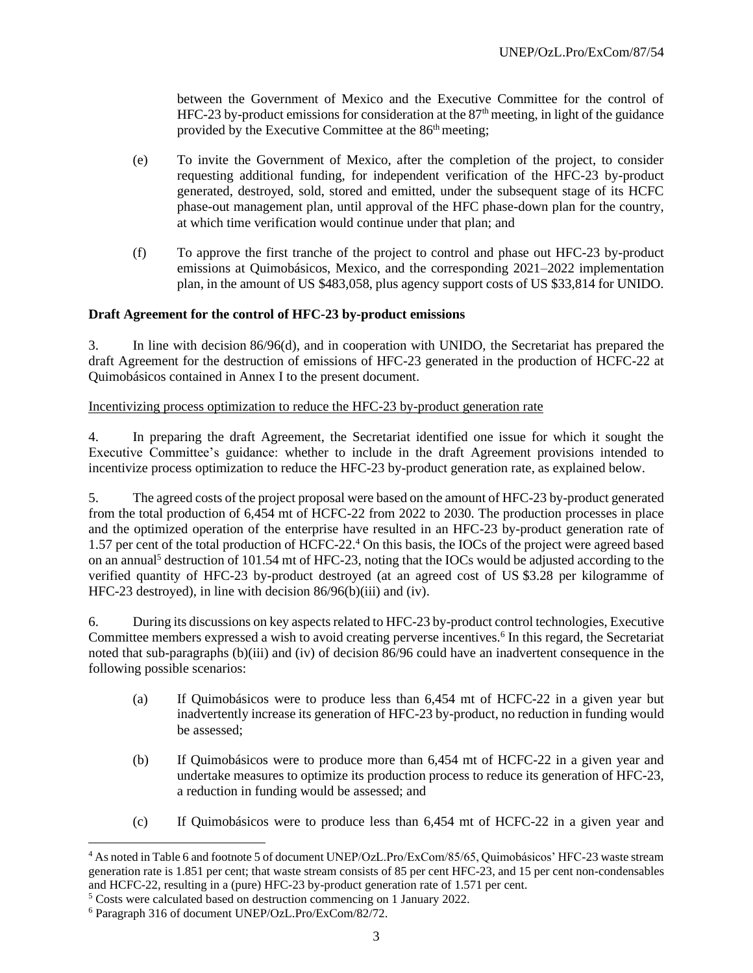between the Government of Mexico and the Executive Committee for the control of HFC-23 by-product emissions for consideration at the  $87<sup>th</sup>$  meeting, in light of the guidance provided by the Executive Committee at the 86<sup>th</sup> meeting;

- (e) To invite the Government of Mexico, after the completion of the project, to consider requesting additional funding, for independent verification of the HFC-23 by-product generated, destroyed, sold, stored and emitted, under the subsequent stage of its HCFC phase-out management plan, until approval of the HFC phase-down plan for the country, at which time verification would continue under that plan; and
- (f) To approve the first tranche of the project to control and phase out HFC-23 by-product emissions at Quimobásicos, Mexico, and the corresponding 2021–2022 implementation plan, in the amount of US \$483,058, plus agency support costs of US \$33,814 for UNIDO.

#### **Draft Agreement for the control of HFC-23 by-product emissions**

3. In line with decision 86/96(d), and in cooperation with UNIDO, the Secretariat has prepared the draft Agreement for the destruction of emissions of HFC-23 generated in the production of HCFC-22 at Quimobásicos contained in Annex I to the present document.

#### Incentivizing process optimization to reduce the HFC-23 by-product generation rate

4. In preparing the draft Agreement, the Secretariat identified one issue for which it sought the Executive Committee's guidance: whether to include in the draft Agreement provisions intended to incentivize process optimization to reduce the HFC-23 by-product generation rate, as explained below.

5. The agreed costs of the project proposal were based on the amount of HFC-23 by-product generated from the total production of 6,454 mt of HCFC-22 from 2022 to 2030. The production processes in place and the optimized operation of the enterprise have resulted in an HFC-23 by-product generation rate of 1.57 per cent of the total production of HCFC-22.<sup>4</sup> On this basis, the IOCs of the project were agreed based on an annual<sup>5</sup> destruction of 101.54 mt of HFC-23, noting that the IOCs would be adjusted according to the verified quantity of HFC-23 by-product destroyed (at an agreed cost of US \$3.28 per kilogramme of HFC-23 destroyed), in line with decision 86/96(b)(iii) and (iv).

6. During its discussions on key aspects related to HFC-23 by-product control technologies, Executive Committee members expressed a wish to avoid creating perverse incentives.<sup>6</sup> In this regard, the Secretariat noted that sub-paragraphs (b)(iii) and (iv) of decision 86/96 could have an inadvertent consequence in the following possible scenarios:

- (a) If Quimobásicos were to produce less than 6,454 mt of HCFC-22 in a given year but inadvertently increase its generation of HFC-23 by-product, no reduction in funding would be assessed;
- (b) If Quimobásicos were to produce more than 6,454 mt of HCFC-22 in a given year and undertake measures to optimize its production process to reduce its generation of HFC-23, a reduction in funding would be assessed; and
- (c) If Quimobásicos were to produce less than 6,454 mt of HCFC-22 in a given year and

<sup>4</sup> As noted in Table 6 and footnote 5 of document UNEP/OzL.Pro/ExCom/85/65, Quimobásicos' HFC-23 waste stream generation rate is 1.851 per cent; that waste stream consists of 85 per cent HFC-23, and 15 per cent non-condensables and HCFC-22, resulting in a (pure) HFC-23 by-product generation rate of 1.571 per cent.

<sup>5</sup> Costs were calculated based on destruction commencing on 1 January 2022.

<sup>6</sup> Paragraph 316 of document UNEP/OzL.Pro/ExCom/82/72.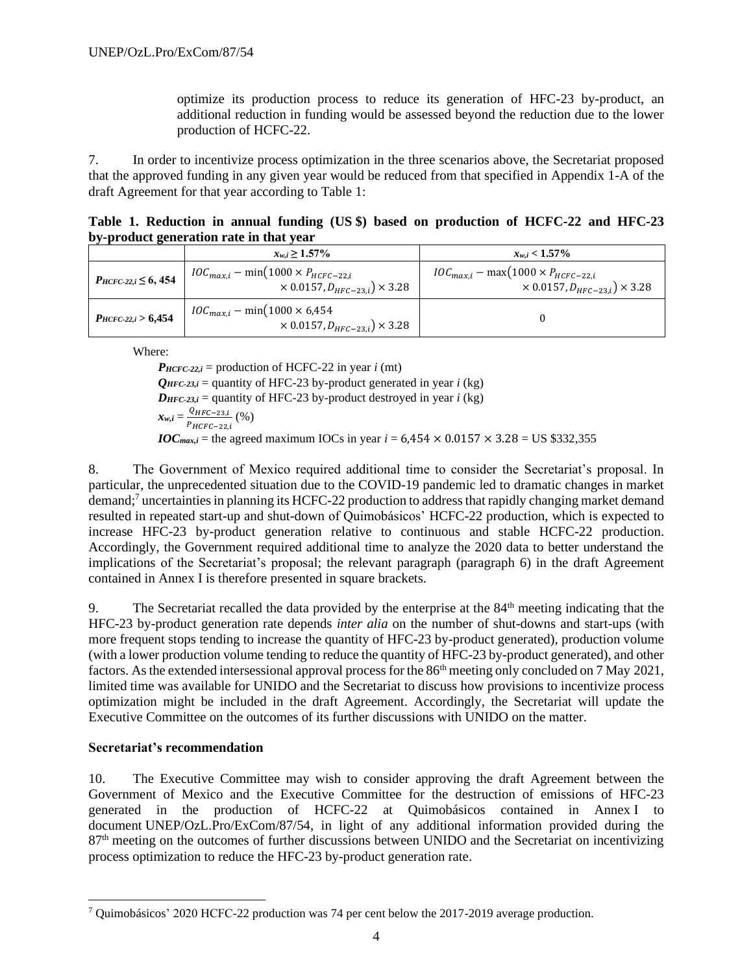optimize its production process to reduce its generation of HFC-23 by-product, an additional reduction in funding would be assessed beyond the reduction due to the lower production of HCFC-22.

7. In order to incentivize process optimization in the three scenarios above, the Secretariat proposed that the approved funding in any given year would be reduced from that specified in Appendix 1-A of the draft Agreement for that year according to Table 1:

|                                         | Table 1. Reduction in annual funding (US \$) based on production of HCFC-22 and HFC-23 |  |  |  |  |  |  |  |  |  |  |  |
|-----------------------------------------|----------------------------------------------------------------------------------------|--|--|--|--|--|--|--|--|--|--|--|
| by-product generation rate in that year |                                                                                        |  |  |  |  |  |  |  |  |  |  |  |

|                                | $x_{w,i} \geq 1.57\%$                                                                            | $x_{w,i}$ < 1.57%                                                                                |
|--------------------------------|--------------------------------------------------------------------------------------------------|--------------------------------------------------------------------------------------------------|
| $P_{H C F C-22, i} \leq 6,454$ | $IOC_{max,i}$ – min(1000 × $P_{H C F C - 22,i}$<br>$\times$ 0.0157, $D_{HFC-23,i}$ $\times$ 3.28 | $IOC_{max,i}$ – max $(1000 \times P_{HCEC-22,i})$<br>$\times 0.0157, D_{HFC-23,i}$ $\times 3.28$ |
| $P_{H C F C-22,i} > 6,454$     | $IOC_{max,i} - min(1000 \times 6,454)$<br>$\times$ 0.0157, $D_{HFC-23,i}$ $\times$ 3.28          |                                                                                                  |

Where:

 $P_{H C F C-22,i}$  = production of HCFC-22 in year *i* (mt)  $Q_{HFC-23,i}$  = quantity of HFC-23 by-product generated in year *i* (kg)  $D_{HFC-23,i}$  = quantity of HFC-23 by-product destroyed in year *i* (kg)

$$
\mathbf{x}_{w,i} = \frac{Q_{HFC-23,i}}{P_{HCFC-22,i}} \, (\%)
$$

*IOC*<sub>max,*i*</sub> = the agreed maximum IOCs in year *i* = 6,454  $\times$  0.0157  $\times$  3.28 = US \$332,355

8. The Government of Mexico required additional time to consider the Secretariat's proposal. In particular, the unprecedented situation due to the COVID-19 pandemic led to dramatic changes in market demand; <sup>7</sup> uncertainties in planning its HCFC-22 production to address that rapidly changing market demand resulted in repeated start-up and shut-down of Quimobásicos' HCFC-22 production, which is expected to increase HFC-23 by-product generation relative to continuous and stable HCFC-22 production. Accordingly, the Government required additional time to analyze the 2020 data to better understand the implications of the Secretariat's proposal; the relevant paragraph (paragraph 6) in the draft Agreement contained in Annex I is therefore presented in square brackets.

9. The Secretariat recalled the data provided by the enterprise at the 84<sup>th</sup> meeting indicating that the HFC-23 by-product generation rate depends *inter alia* on the number of shut-downs and start-ups (with more frequent stops tending to increase the quantity of HFC-23 by-product generated), production volume (with a lower production volume tending to reduce the quantity of HFC-23 by-product generated), and other factors. As the extended intersessional approval process for the 86<sup>th</sup> meeting only concluded on 7 May 2021, limited time was available for UNIDO and the Secretariat to discuss how provisions to incentivize process optimization might be included in the draft Agreement. Accordingly, the Secretariat will update the Executive Committee on the outcomes of its further discussions with UNIDO on the matter.

#### **Secretariat's recommendation**

10. The Executive Committee may wish to consider approving the draft Agreement between the Government of Mexico and the Executive Committee for the destruction of emissions of HFC-23 generated in the production of HCFC-22 at Quimobásicos contained in Annex I to document UNEP/OzL.Pro/ExCom/87/54, in light of any additional information provided during the 87th meeting on the outcomes of further discussions between UNIDO and the Secretariat on incentivizing process optimization to reduce the HFC-23 by-product generation rate.

<sup>7</sup> Quimobásicos' 2020 HCFC-22 production was 74 per cent below the 2017-2019 average production.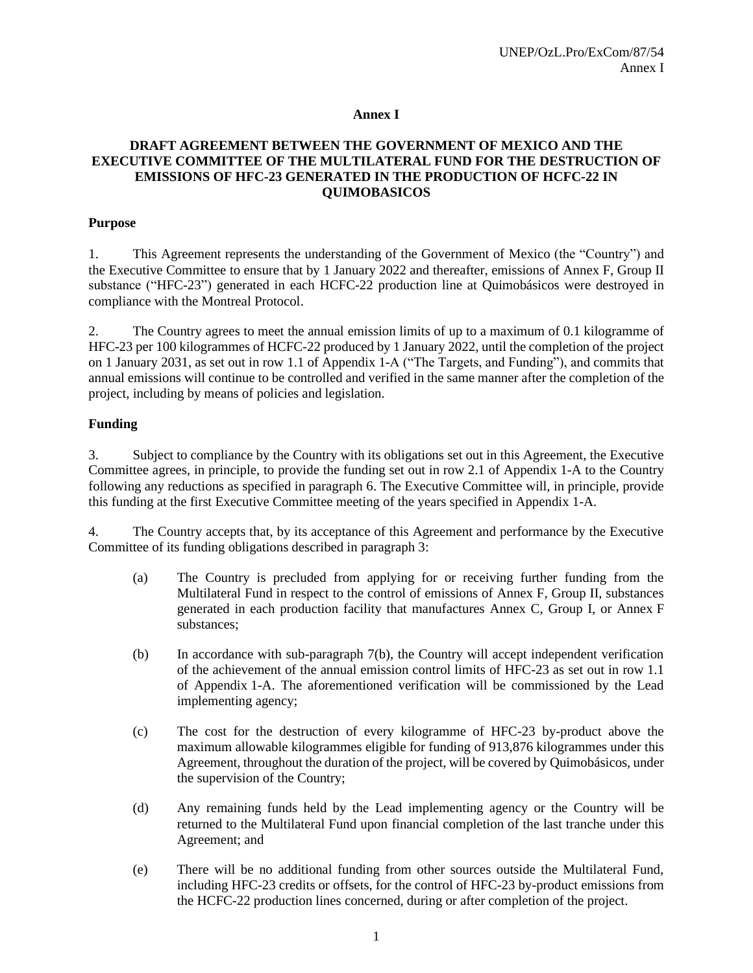#### **Annex I**

#### **DRAFT AGREEMENT BETWEEN THE GOVERNMENT OF MEXICO AND THE EXECUTIVE COMMITTEE OF THE MULTILATERAL FUND FOR THE DESTRUCTION OF EMISSIONS OF HFC-23 GENERATED IN THE PRODUCTION OF HCFC-22 IN QUIMOBASICOS**

#### **Purpose**

1. This Agreement represents the understanding of the Government of Mexico (the "Country") and the Executive Committee to ensure that by 1 January 2022 and thereafter, emissions of Annex F, Group II substance ("HFC-23") generated in each HCFC-22 production line at Quimobásicos were destroyed in compliance with the Montreal Protocol.

2. The Country agrees to meet the annual emission limits of up to a maximum of 0.1 kilogramme of HFC-23 per 100 kilogrammes of HCFC-22 produced by 1 January 2022, until the completion of the project on 1 January 2031, as set out in row 1.1 of Appendix 1-A ("The Targets, and Funding"), and commits that annual emissions will continue to be controlled and verified in the same manner after the completion of the project, including by means of policies and legislation.

#### **Funding**

3. Subject to compliance by the Country with its obligations set out in this Agreement, the Executive Committee agrees, in principle, to provide the funding set out in row 2.1 of Appendix 1-A to the Country following any reductions as specified in paragraph 6. The Executive Committee will, in principle, provide this funding at the first Executive Committee meeting of the years specified in Appendix 1-A.

4. The Country accepts that, by its acceptance of this Agreement and performance by the Executive Committee of its funding obligations described in paragraph 3:

- (a) The Country is precluded from applying for or receiving further funding from the Multilateral Fund in respect to the control of emissions of Annex F, Group II, substances generated in each production facility that manufactures Annex C, Group I, or Annex F substances;
- (b) In accordance with sub-paragraph 7(b), the Country will accept independent verification of the achievement of the annual emission control limits of HFC-23 as set out in row 1.1 of Appendix 1-A. The aforementioned verification will be commissioned by the Lead implementing agency;
- (c) The cost for the destruction of every kilogramme of HFC-23 by-product above the maximum allowable kilogrammes eligible for funding of 913,876 kilogrammes under this Agreement, throughout the duration of the project, will be covered by Quimobásicos, under the supervision of the Country;
- (d) Any remaining funds held by the Lead implementing agency or the Country will be returned to the Multilateral Fund upon financial completion of the last tranche under this Agreement; and
- (e) There will be no additional funding from other sources outside the Multilateral Fund, including HFC-23 credits or offsets, for the control of HFC-23 by-product emissions from the HCFC-22 production lines concerned, during or after completion of the project.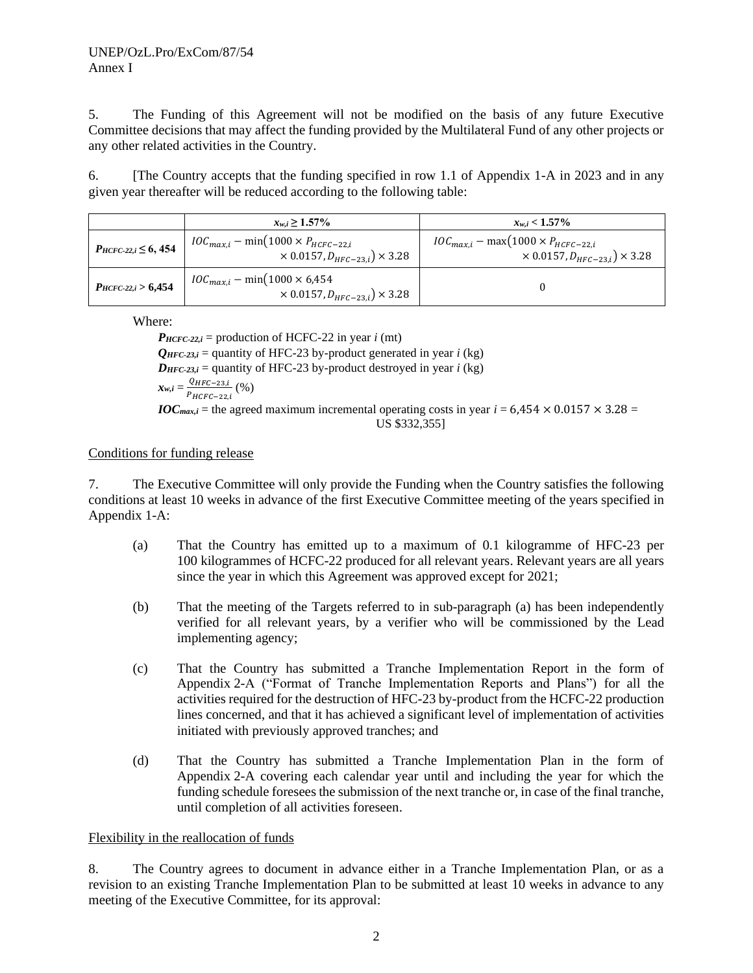#### UNEP/OzL.Pro/ExCom/87/54 Annex I

5. The Funding of this Agreement will not be modified on the basis of any future Executive Committee decisions that may affect the funding provided by the Multilateral Fund of any other projects or any other related activities in the Country.

6. [The Country accepts that the funding specified in row 1.1 of Appendix 1-A in 2023 and in any given year thereafter will be reduced according to the following table:

|                                 | $x_{w,i} \geq 1.57\%$                                                                            | $x_{w,i}$ < 1.57%                                                                                |
|---------------------------------|--------------------------------------------------------------------------------------------------|--------------------------------------------------------------------------------------------------|
| $P_{H C F C-22, i} \leq 6, 454$ | $IOC_{max,i}$ – min(1000 × $P_{H C F C - 22,i}$<br>$\times$ 0.0157, $D_{HFC-23,i}$ $\times$ 3.28 | $IOC_{max,i}$ – max $(1000 \times P_{HCEC-22,i})$<br>$\times 0.0157, D_{HFC-23,i}$ $\times 3.28$ |
| $P_{H C F C-22,i} > 6,454$      | $IOC_{max,i} - min(1000 \times 6,454)$<br>$\times$ 0.0157, $D_{HFC-23,i}$ $\times$ 3.28          |                                                                                                  |

Where:

 $P_{HCFC-22,i}$  = production of HCFC-22 in year *i* (mt)  $Q_{HFC-23,i}$  = quantity of HFC-23 by-product generated in year *i* (kg)  $D_{HFC-23,i}$  = quantity of HFC-23 by-product destroyed in year *i* (kg)  $x_{w,i} = \frac{Q_{HFC-23,i}}{R}$  $\frac{{}_{\sqrt{HFC-23,l}}}{P_{HCFC-22,l}}$  (%) *IOC*<sub>max,*i*</sub> = the agreed maximum incremental operating costs in year *i* = 6,454  $\times$  0.0157  $\times$  3.28 = US \$332,355]

#### Conditions for funding release

7. The Executive Committee will only provide the Funding when the Country satisfies the following conditions at least 10 weeks in advance of the first Executive Committee meeting of the years specified in Appendix 1-A:

- (a) That the Country has emitted up to a maximum of 0.1 kilogramme of HFC-23 per 100 kilogrammes of HCFC-22 produced for all relevant years. Relevant years are all years since the year in which this Agreement was approved except for 2021;
- (b) That the meeting of the Targets referred to in sub-paragraph (a) has been independently verified for all relevant years, by a verifier who will be commissioned by the Lead implementing agency;
- (c) That the Country has submitted a Tranche Implementation Report in the form of Appendix 2-A ("Format of Tranche Implementation Reports and Plans") for all the activities required for the destruction of HFC-23 by-product from the HCFC-22 production lines concerned, and that it has achieved a significant level of implementation of activities initiated with previously approved tranches; and
- (d) That the Country has submitted a Tranche Implementation Plan in the form of Appendix 2-A covering each calendar year until and including the year for which the funding schedule foresees the submission of the next tranche or, in case of the final tranche, until completion of all activities foreseen.

#### Flexibility in the reallocation of funds

8. The Country agrees to document in advance either in a Tranche Implementation Plan, or as a revision to an existing Tranche Implementation Plan to be submitted at least 10 weeks in advance to any meeting of the Executive Committee, for its approval: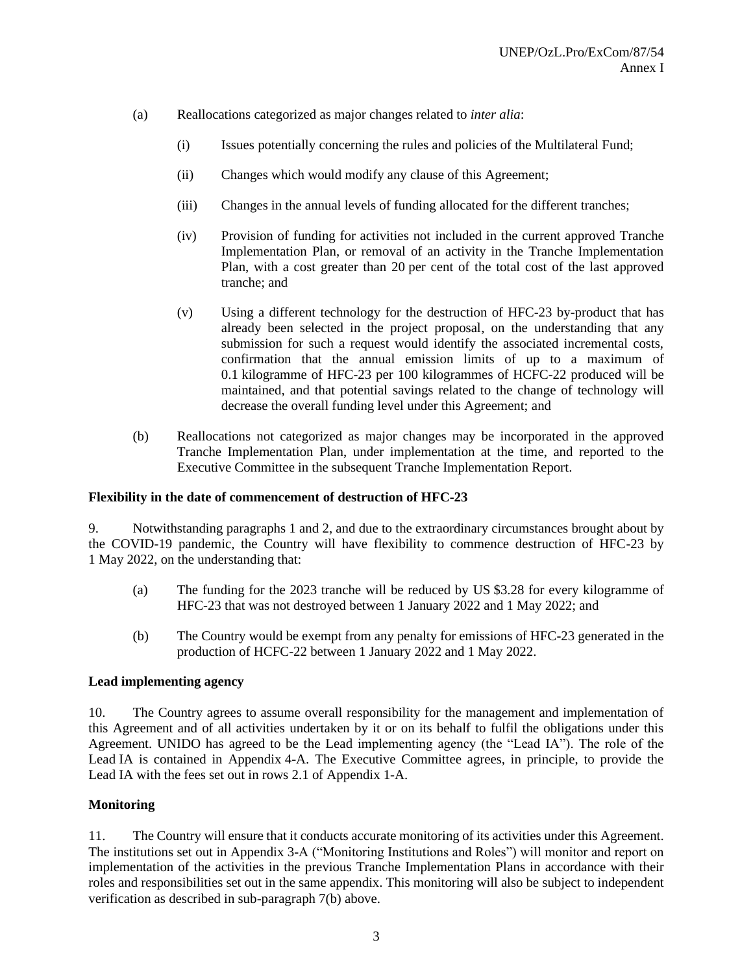- (a) Reallocations categorized as major changes related to *inter alia*:
	- (i) Issues potentially concerning the rules and policies of the Multilateral Fund;
	- (ii) Changes which would modify any clause of this Agreement;
	- (iii) Changes in the annual levels of funding allocated for the different tranches;
	- (iv) Provision of funding for activities not included in the current approved Tranche Implementation Plan, or removal of an activity in the Tranche Implementation Plan, with a cost greater than 20 per cent of the total cost of the last approved tranche; and
	- (v) Using a different technology for the destruction of HFC-23 by-product that has already been selected in the project proposal, on the understanding that any submission for such a request would identify the associated incremental costs, confirmation that the annual emission limits of up to a maximum of 0.1 kilogramme of HFC-23 per 100 kilogrammes of HCFC-22 produced will be maintained, and that potential savings related to the change of technology will decrease the overall funding level under this Agreement; and
- (b) Reallocations not categorized as major changes may be incorporated in the approved Tranche Implementation Plan, under implementation at the time, and reported to the Executive Committee in the subsequent Tranche Implementation Report.

#### **Flexibility in the date of commencement of destruction of HFC-23**

9. Notwithstanding paragraphs 1 and 2, and due to the extraordinary circumstances brought about by the COVID-19 pandemic, the Country will have flexibility to commence destruction of HFC-23 by 1 May 2022, on the understanding that:

- (a) The funding for the 2023 tranche will be reduced by US \$3.28 for every kilogramme of HFC-23 that was not destroyed between 1 January 2022 and 1 May 2022; and
- (b) The Country would be exempt from any penalty for emissions of HFC-23 generated in the production of HCFC-22 between 1 January 2022 and 1 May 2022.

#### **Lead implementing agency**

10. The Country agrees to assume overall responsibility for the management and implementation of this Agreement and of all activities undertaken by it or on its behalf to fulfil the obligations under this Agreement. UNIDO has agreed to be the Lead implementing agency (the "Lead IA"). The role of the Lead IA is contained in Appendix 4-A. The Executive Committee agrees, in principle, to provide the Lead IA with the fees set out in rows 2.1 of Appendix 1-A.

## **Monitoring**

11. The Country will ensure that it conducts accurate monitoring of its activities under this Agreement. The institutions set out in Appendix 3-A ("Monitoring Institutions and Roles") will monitor and report on implementation of the activities in the previous Tranche Implementation Plans in accordance with their roles and responsibilities set out in the same appendix. This monitoring will also be subject to independent verification as described in sub-paragraph 7(b) above.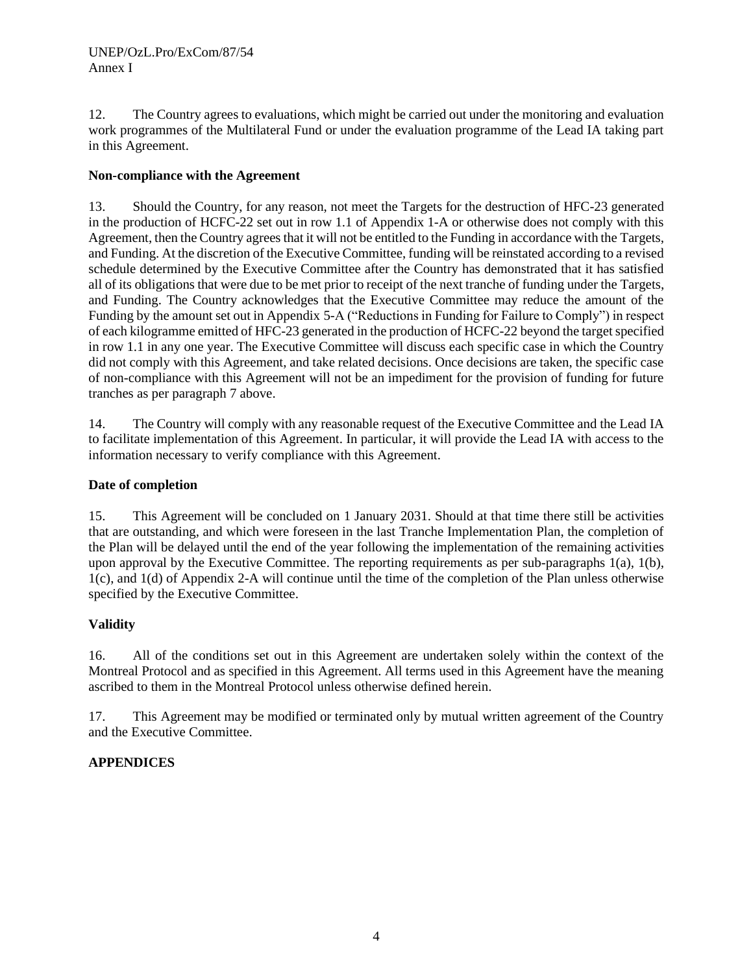12. The Country agrees to evaluations, which might be carried out under the monitoring and evaluation work programmes of the Multilateral Fund or under the evaluation programme of the Lead IA taking part in this Agreement.

## **Non-compliance with the Agreement**

13. Should the Country, for any reason, not meet the Targets for the destruction of HFC-23 generated in the production of HCFC-22 set out in row 1.1 of Appendix 1-A or otherwise does not comply with this Agreement, then the Country agrees that it will not be entitled to the Funding in accordance with the Targets, and Funding. At the discretion of the Executive Committee, funding will be reinstated according to a revised schedule determined by the Executive Committee after the Country has demonstrated that it has satisfied all of its obligations that were due to be met prior to receipt of the next tranche of funding under the Targets, and Funding. The Country acknowledges that the Executive Committee may reduce the amount of the Funding by the amount set out in Appendix 5-A ("Reductions in Funding for Failure to Comply") in respect of each kilogramme emitted of HFC-23 generated in the production of HCFC-22 beyond the target specified in row 1.1 in any one year. The Executive Committee will discuss each specific case in which the Country did not comply with this Agreement, and take related decisions. Once decisions are taken, the specific case of non-compliance with this Agreement will not be an impediment for the provision of funding for future tranches as per paragraph 7 above.

14. The Country will comply with any reasonable request of the Executive Committee and the Lead IA to facilitate implementation of this Agreement. In particular, it will provide the Lead IA with access to the information necessary to verify compliance with this Agreement.

## **Date of completion**

15. This Agreement will be concluded on 1 January 2031. Should at that time there still be activities that are outstanding, and which were foreseen in the last Tranche Implementation Plan, the completion of the Plan will be delayed until the end of the year following the implementation of the remaining activities upon approval by the Executive Committee. The reporting requirements as per sub-paragraphs 1(a), 1(b), 1(c), and 1(d) of Appendix 2-A will continue until the time of the completion of the Plan unless otherwise specified by the Executive Committee.

## **Validity**

16. All of the conditions set out in this Agreement are undertaken solely within the context of the Montreal Protocol and as specified in this Agreement. All terms used in this Agreement have the meaning ascribed to them in the Montreal Protocol unless otherwise defined herein.

17. This Agreement may be modified or terminated only by mutual written agreement of the Country and the Executive Committee.

## **APPENDICES**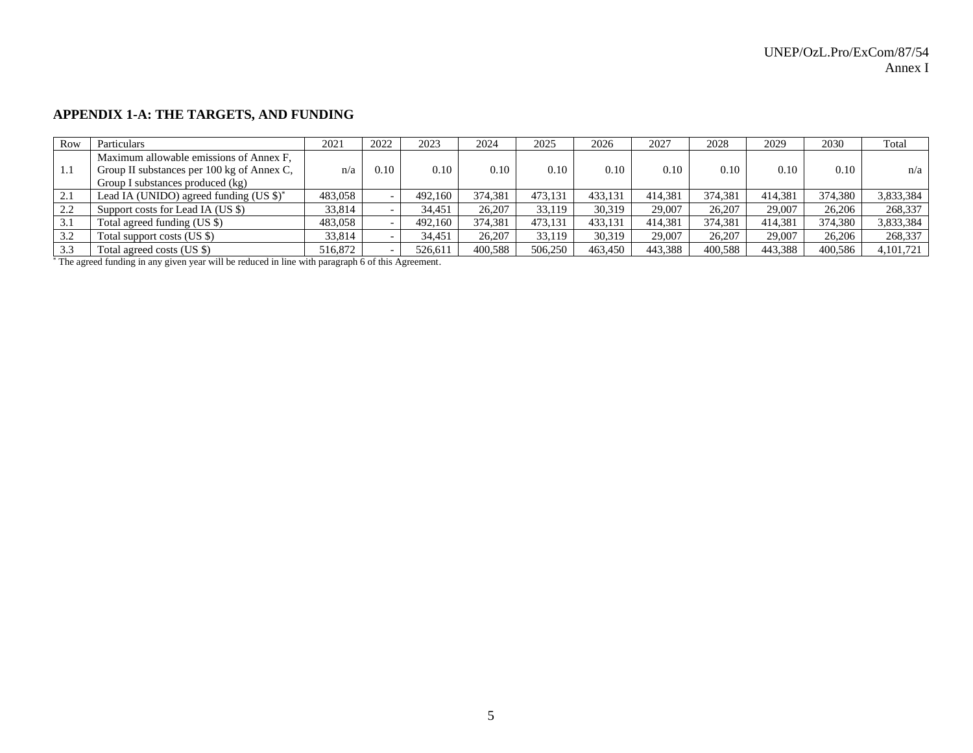## **APPENDIX 1-A: THE TARGETS, AND FUNDING**

| Row  | Particulars                                                | 2021    | 2022 | 2023    | 2024    | 2025    | 2026    | 2027    | 2028    | 2029    | 2030    | Total     |
|------|------------------------------------------------------------|---------|------|---------|---------|---------|---------|---------|---------|---------|---------|-----------|
|      | Maximum allowable emissions of Annex F,                    |         |      |         |         |         |         |         |         |         |         |           |
| -1.1 | Group II substances per 100 kg of Annex C,                 | n/a     | 0.10 | 0.10    | 0.10    | 0.10    | 0.10    | 0.10    | 0.10    | 0.10    | 0.10    | n/a       |
|      | Group I substances produced (kg)                           |         |      |         |         |         |         |         |         |         |         |           |
| 2.1  | Lead IA (UNIDO) agreed funding $(US \text{ } \text{\$})^*$ | 483,058 |      | 492,160 | 374.381 | 473.131 | 433,131 | 414.381 | 374.381 | 414.381 | 374,380 | 3,833,384 |
| 2.2  | Support costs for Lead IA (US \$)                          | 33,814  |      | 34,451  | 26,207  | 33,119  | 30,319  | 29,007  | 26,207  | 29,007  | 26,206  | 268,337   |
| 3.1  | Total agreed funding (US \$)                               | 483,058 |      | 492,160 | 374.381 | 473,131 | 433.131 | 414,381 | 374,381 | 414,381 | 374,380 | 3,833,384 |
| 3.2  | Total support costs (US \$)                                | 33,814  |      | 34,451  | 26.207  | 33,119  | 30,319  | 29,007  | 26,207  | 29,007  | 26,206  | 268,337   |
| 3.3  | Total agreed costs (US \$)                                 | 516,872 |      | 526,611 | 400,588 | 506,250 | 463.450 | 443,388 | 400,588 | 443,388 | 400,586 | 4,101,721 |

\* The agreed funding in any given year will be reduced in line with paragraph 6 of this Agreement.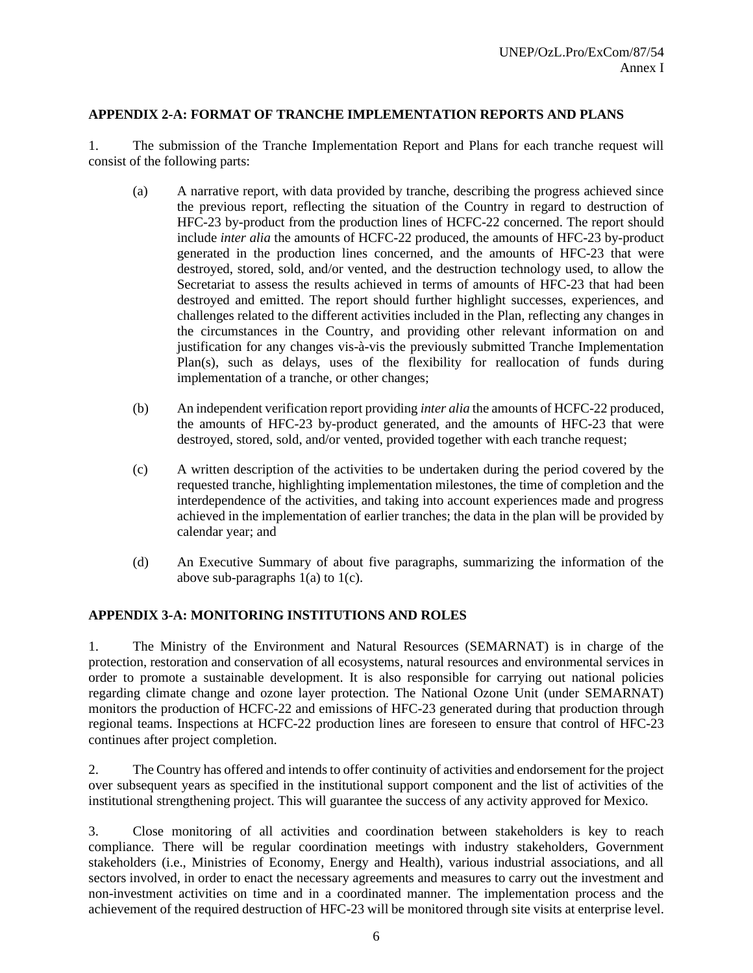## **APPENDIX 2-A: FORMAT OF TRANCHE IMPLEMENTATION REPORTS AND PLANS**

1. The submission of the Tranche Implementation Report and Plans for each tranche request will consist of the following parts:

- (a) A narrative report, with data provided by tranche, describing the progress achieved since the previous report, reflecting the situation of the Country in regard to destruction of HFC-23 by-product from the production lines of HCFC-22 concerned. The report should include *inter alia* the amounts of HCFC-22 produced, the amounts of HFC-23 by-product generated in the production lines concerned, and the amounts of HFC-23 that were destroyed, stored, sold, and/or vented, and the destruction technology used, to allow the Secretariat to assess the results achieved in terms of amounts of HFC-23 that had been destroyed and emitted. The report should further highlight successes, experiences, and challenges related to the different activities included in the Plan, reflecting any changes in the circumstances in the Country, and providing other relevant information on and justification for any changes vis-à-vis the previously submitted Tranche Implementation Plan(s), such as delays, uses of the flexibility for reallocation of funds during implementation of a tranche, or other changes;
- (b) An independent verification report providing *inter alia* the amounts of HCFC-22 produced, the amounts of HFC-23 by-product generated, and the amounts of HFC-23 that were destroyed, stored, sold, and/or vented, provided together with each tranche request;
- (c) A written description of the activities to be undertaken during the period covered by the requested tranche, highlighting implementation milestones, the time of completion and the interdependence of the activities, and taking into account experiences made and progress achieved in the implementation of earlier tranches; the data in the plan will be provided by calendar year; and
- (d) An Executive Summary of about five paragraphs, summarizing the information of the above sub-paragraphs  $1(a)$  to  $1(c)$ .

#### **APPENDIX 3-A: MONITORING INSTITUTIONS AND ROLES**

1. The Ministry of the Environment and Natural Resources (SEMARNAT) is in charge of the protection, restoration and conservation of all ecosystems, natural resources and environmental services in order to promote a sustainable development. It is also responsible for carrying out national policies regarding climate change and ozone layer protection. The National Ozone Unit (under SEMARNAT) monitors the production of HCFC-22 and emissions of HFC-23 generated during that production through regional teams. Inspections at HCFC-22 production lines are foreseen to ensure that control of HFC-23 continues after project completion.

2. The Country has offered and intends to offer continuity of activities and endorsement for the project over subsequent years as specified in the institutional support component and the list of activities of the institutional strengthening project. This will guarantee the success of any activity approved for Mexico.

3. Close monitoring of all activities and coordination between stakeholders is key to reach compliance. There will be regular coordination meetings with industry stakeholders, Government stakeholders (i.e., Ministries of Economy, Energy and Health), various industrial associations, and all sectors involved, in order to enact the necessary agreements and measures to carry out the investment and non-investment activities on time and in a coordinated manner. The implementation process and the achievement of the required destruction of HFC-23 will be monitored through site visits at enterprise level.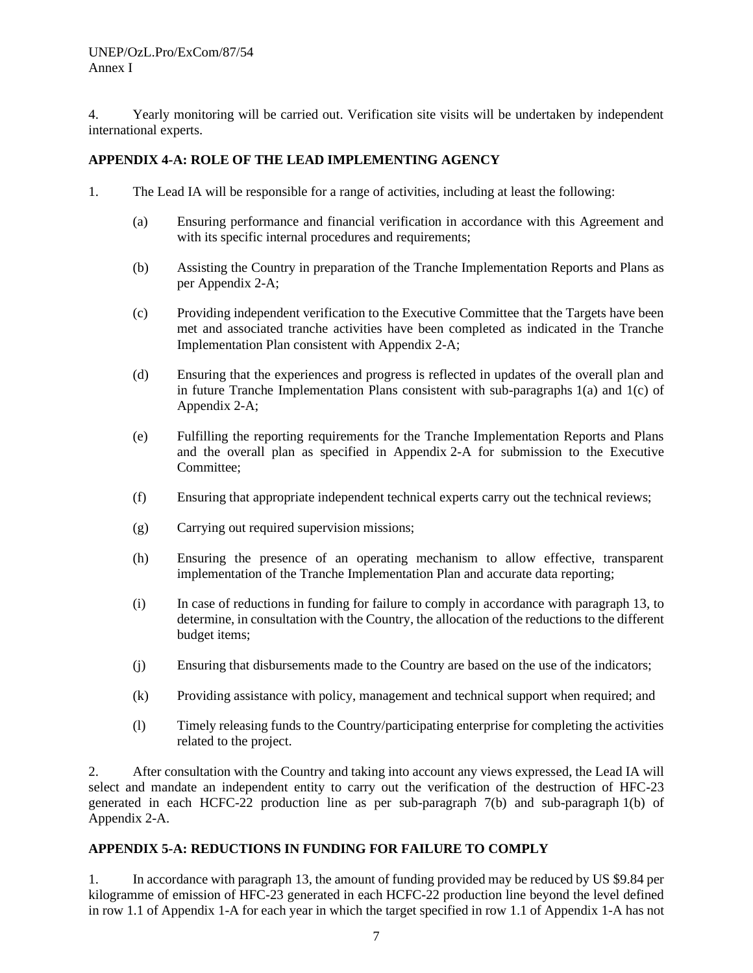4. Yearly monitoring will be carried out. Verification site visits will be undertaken by independent international experts.

#### **APPENDIX 4-A: ROLE OF THE LEAD IMPLEMENTING AGENCY**

- 1. The Lead IA will be responsible for a range of activities, including at least the following:
	- (a) Ensuring performance and financial verification in accordance with this Agreement and with its specific internal procedures and requirements;
	- (b) Assisting the Country in preparation of the Tranche Implementation Reports and Plans as per Appendix 2-A;
	- (c) Providing independent verification to the Executive Committee that the Targets have been met and associated tranche activities have been completed as indicated in the Tranche Implementation Plan consistent with Appendix 2-A;
	- (d) Ensuring that the experiences and progress is reflected in updates of the overall plan and in future Tranche Implementation Plans consistent with sub-paragraphs  $1(a)$  and  $1(c)$  of Appendix 2-A;
	- (e) Fulfilling the reporting requirements for the Tranche Implementation Reports and Plans and the overall plan as specified in Appendix 2-A for submission to the Executive Committee;
	- (f) Ensuring that appropriate independent technical experts carry out the technical reviews;
	- (g) Carrying out required supervision missions;
	- (h) Ensuring the presence of an operating mechanism to allow effective, transparent implementation of the Tranche Implementation Plan and accurate data reporting;
	- (i) In case of reductions in funding for failure to comply in accordance with paragraph 13, to determine, in consultation with the Country, the allocation of the reductions to the different budget items;
	- (j) Ensuring that disbursements made to the Country are based on the use of the indicators;
	- (k) Providing assistance with policy, management and technical support when required; and
	- (l) Timely releasing funds to the Country/participating enterprise for completing the activities related to the project.

2. After consultation with the Country and taking into account any views expressed, the Lead IA will select and mandate an independent entity to carry out the verification of the destruction of HFC-23 generated in each HCFC-22 production line as per sub-paragraph 7(b) and sub-paragraph 1(b) of Appendix 2-A.

## **APPENDIX 5-A: REDUCTIONS IN FUNDING FOR FAILURE TO COMPLY**

1. In accordance with paragraph 13, the amount of funding provided may be reduced by US \$9.84 per kilogramme of emission of HFC-23 generated in each HCFC-22 production line beyond the level defined in row 1.1 of Appendix 1-A for each year in which the target specified in row 1.1 of Appendix 1-A has not